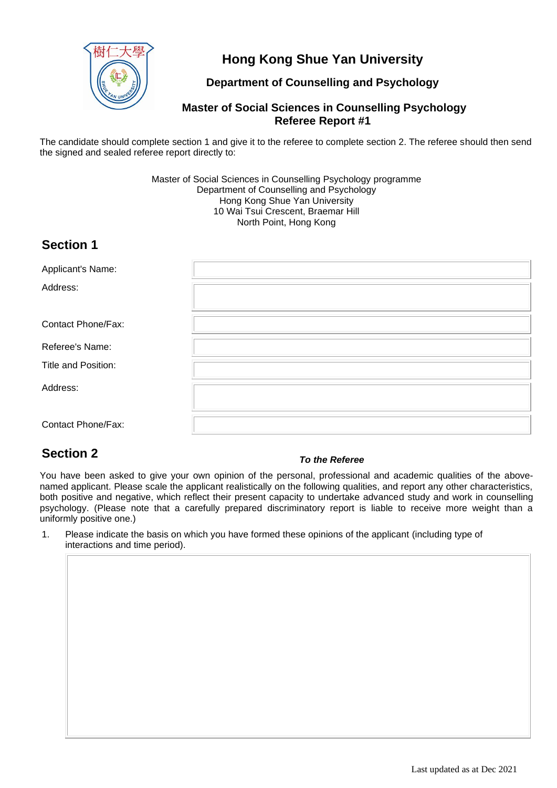

## **Hong Kong Shue Yan University**

### **Department of Counselling and Psychology**

#### **Master of Social Sciences in Counselling Psychology Referee Report #1**

The candidate should complete section 1 and give it to the referee to complete section 2. The referee should then send the signed and sealed referee report directly to:

> Master of Social Sciences in Counselling Psychology programme Department of Counselling and Psychology Hong Kong Shue Yan University 10 Wai Tsui Crescent, Braemar Hill North Point, Hong Kong

## **Section 1**

| Applicant's Name:         |  |
|---------------------------|--|
| Address:                  |  |
| <b>Contact Phone/Fax:</b> |  |
| Referee's Name:           |  |
| Title and Position:       |  |
| Address:                  |  |
| <b>Contact Phone/Fax:</b> |  |

# **Section 2** *To the Referee*

You have been asked to give your own opinion of the personal, professional and academic qualities of the abovenamed applicant. Please scale the applicant realistically on the following qualities, and report any other characteristics, both positive and negative, which reflect their present capacity to undertake advanced study and work in counselling psychology. (Please note that a carefully prepared discriminatory report is liable to receive more weight than a uniformly positive one.)

1. Please indicate the basis on which you have formed these opinions of the applicant (including type of interactions and time period).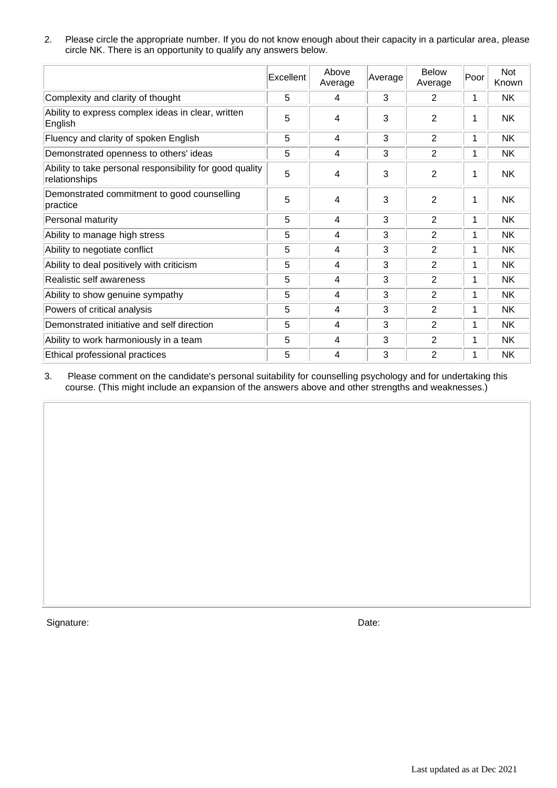2. Please circle the appropriate number. If you do not know enough about their capacity in a particular area, please circle NK. There is an opportunity to qualify any answers below.

|                                                                           | Excellent | Above<br>Average | Average | <b>Below</b><br>Average | Poor | Not<br>Known |
|---------------------------------------------------------------------------|-----------|------------------|---------|-------------------------|------|--------------|
| Complexity and clarity of thought                                         | 5         | 4                | 3       | 2                       | 1    | <b>NK</b>    |
| Ability to express complex ideas in clear, written<br>English             | 5         | 4                | 3       | 2                       | 1    | <b>NK</b>    |
| Fluency and clarity of spoken English                                     | 5         | 4                | 3       | 2                       | 1    | NΚ           |
| Demonstrated openness to others' ideas                                    | 5         | 4                | 3       | 2                       | 1    | <b>NK</b>    |
| Ability to take personal responsibility for good quality<br>relationships | 5         | 4                | 3       | 2                       | 1    | NΚ           |
| Demonstrated commitment to good counselling<br>practice                   | 5         | 4                | 3       | $\overline{2}$          | 1    | <b>NK</b>    |
| Personal maturity                                                         | 5         | 4                | 3       | $\overline{2}$          | 1    | NΚ           |
| Ability to manage high stress                                             | 5         | 4                | 3       | $\overline{2}$          | 1    | NK           |
| Ability to negotiate conflict                                             | 5         | 4                | 3       | 2                       | 1    | NΚ           |
| Ability to deal positively with criticism                                 | 5         | 4                | 3       | 2                       | 1    | NΚ           |
| Realistic self awareness                                                  | 5         | 4                | 3       | $\overline{2}$          | 1    | <b>NK</b>    |
| Ability to show genuine sympathy                                          | 5         | 4                | 3       | $\overline{2}$          | 1    | NΚ           |
| Powers of critical analysis                                               | 5         | 4                | 3       | $\overline{2}$          | 1    | NΚ           |
| Demonstrated initiative and self direction                                | 5         | 4                | 3       | 2                       | 1    | NΚ           |
| Ability to work harmoniously in a team                                    | 5         | 4                | 3       | $\overline{2}$          | 1    | <b>NK</b>    |
| Ethical professional practices                                            | 5         | 4                | 3       | 2                       | 1    | <b>NK</b>    |

3. Please comment on the candidate's personal suitability for counselling psychology and for undertaking this course. (This might include an expansion of the answers above and other strengths and weaknesses.)

Signature: Date: Date: Date: Date: Date: Date: Date: Date: Date: Date: Date: Date: Date: Date: Date: Date: Date: Date: Date: Date: Date: Date: Date: Date: Date: Date: Date: Date: Date: Date: Date: Date: Date: Date: Date: D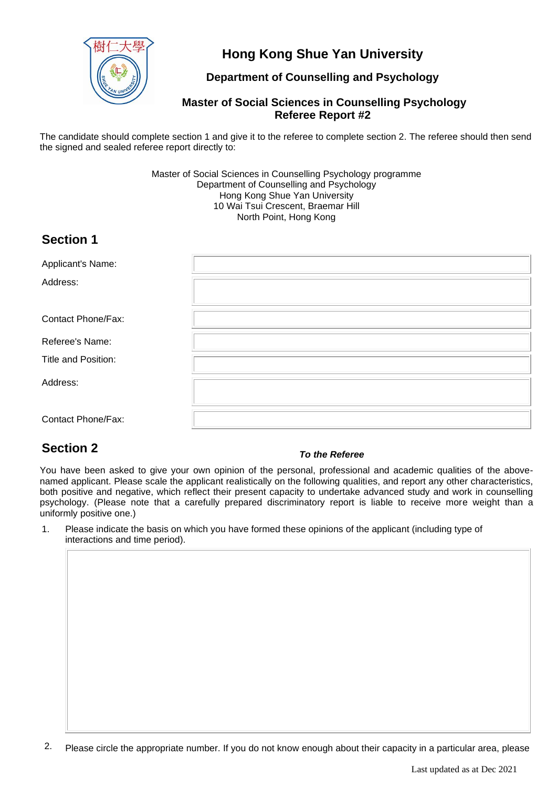

## **Hong Kong Shue Yan University**

### **Department of Counselling and Psychology**

#### **Master of Social Sciences in Counselling Psychology Referee Report #2**

The candidate should complete section 1 and give it to the referee to complete section 2. The referee should then send the signed and sealed referee report directly to:

> Master of Social Sciences in Counselling Psychology programme Department of Counselling and Psychology Hong Kong Shue Yan University 10 Wai Tsui Crescent, Braemar Hill North Point, Hong Kong

## **Section 1**

| Applicant's Name:         |  |
|---------------------------|--|
| Address:                  |  |
|                           |  |
| <b>Contact Phone/Fax:</b> |  |
| Referee's Name:           |  |
| Title and Position:       |  |
| Address:                  |  |
| Contact Phone/Fax:        |  |

# **Section 2** *To the Referee*

You have been asked to give your own opinion of the personal, professional and academic qualities of the abovenamed applicant. Please scale the applicant realistically on the following qualities, and report any other characteristics, both positive and negative, which reflect their present capacity to undertake advanced study and work in counselling psychology. (Please note that a carefully prepared discriminatory report is liable to receive more weight than a uniformly positive one.)

1. Please indicate the basis on which you have formed these opinions of the applicant (including type of interactions and time period).